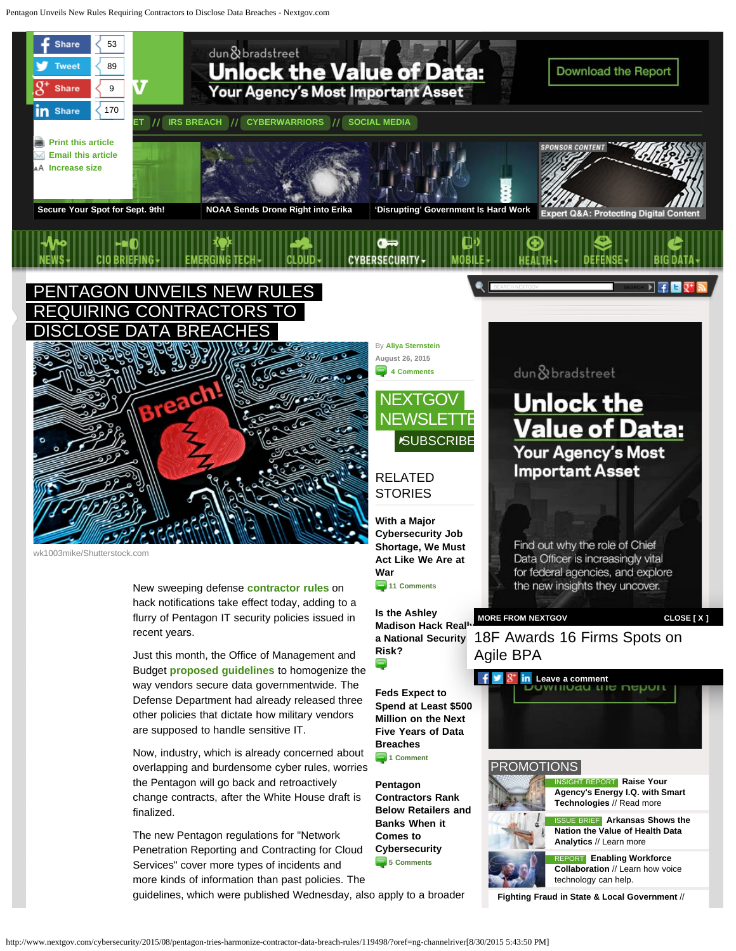<span id="page-0-0"></span>Pentagon Unveils New Rules Requiring Contractors to Disclose Data Breaches - Nextgov.com



**[Feds Expect to](http://www.nextgov.com/cybersecurity/2015/08/feds-expect-spend-least-500-million-next-five-years-data-breaches/119096/?oref=ng-relatedstories) [Spend at Least \\$500](http://www.nextgov.com/cybersecurity/2015/08/feds-expect-spend-least-500-million-next-five-years-data-breaches/119096/?oref=ng-relatedstories) [Million on the Next](http://www.nextgov.com/cybersecurity/2015/08/feds-expect-spend-least-500-million-next-five-years-data-breaches/119096/?oref=ng-relatedstories) [Five Years of Data](http://www.nextgov.com/cybersecurity/2015/08/feds-expect-spend-least-500-million-next-five-years-data-breaches/119096/?oref=ng-relatedstories)**

**[Breaches](http://www.nextgov.com/cybersecurity/2015/08/feds-expect-spend-least-500-million-next-five-years-data-breaches/119096/?oref=ng-relatedstories)**

**1** Comment

**[Pentagon](http://www.nextgov.com/cybersecurity/2015/07/pentagon-contractors-ranked-below-retailers-and-banks-when-it-comes-cybersecurity/116899/?oref=ng-relatedstories) [Contractors Rank](http://www.nextgov.com/cybersecurity/2015/07/pentagon-contractors-ranked-below-retailers-and-banks-when-it-comes-cybersecurity/116899/?oref=ng-relatedstories) [Below Retailers and](http://www.nextgov.com/cybersecurity/2015/07/pentagon-contractors-ranked-below-retailers-and-banks-when-it-comes-cybersecurity/116899/?oref=ng-relatedstories) [Banks When it](http://www.nextgov.com/cybersecurity/2015/07/pentagon-contractors-ranked-below-retailers-and-banks-when-it-comes-cybersecurity/116899/?oref=ng-relatedstories) [Comes to](http://www.nextgov.com/cybersecurity/2015/07/pentagon-contractors-ranked-below-retailers-and-banks-when-it-comes-cybersecurity/116899/?oref=ng-relatedstories) [Cybersecurity](http://www.nextgov.com/cybersecurity/2015/07/pentagon-contractors-ranked-below-retailers-and-banks-when-it-comes-cybersecurity/116899/?oref=ng-relatedstories)**

**[5 Comments](http://www.nextgov.com/cybersecurity/2015/07/pentagon-contractors-ranked-below-retailers-and-banks-when-it-comes-cybersecurity/116899/?oref=ng-relatedstories#disqus_thread)**

Budget **[proposed guidelines](https://policy.cio.gov/)** to homogenize the way vendors secure data governmentwide. The Defense Department had already released three other policies that dictate how military vendors are supposed to handle sensitive IT.

Now, industry, which is already concerned about overlapping and burdensome cyber rules, worries the Pentagon will go back and retroactively change contracts, after the White House draft is finalized.

The new Pentagon regulations for "Network Penetration Reporting and Contracting for Cloud Services" cover more types of incidents and more kinds of information than past policies. The

guidelines, which were published Wednesday, also apply to a broader



[ISSUE BRIEF](http://www.govexec.com/gbc/reports/arkansas-nation-value-health-data-analytics-state-government/118864/?oref=ng-promotions) **[Arkansas Shows the](http://www.govexec.com/gbc/reports/arkansas-nation-value-health-data-analytics-state-government/118864/?oref=ng-promotions) [Nation the Value of Health Data](http://www.govexec.com/gbc/reports/arkansas-nation-value-health-data-analytics-state-government/118864/?oref=ng-promotions) [Analytics](http://www.govexec.com/gbc/reports/arkansas-nation-value-health-data-analytics-state-government/118864/?oref=ng-promotions)** [// Learn more](http://www.govexec.com/gbc/reports/arkansas-nation-value-health-data-analytics-state-government/118864/?oref=ng-promotions)

[REPORT](http://get.govexec.com/sponsored-workforce-collaboration/) **[Enabling Workforce](http://get.govexec.com/sponsored-workforce-collaboration/) [Collaboration](http://get.govexec.com/sponsored-workforce-collaboration/)** [// Learn how voice](http://get.govexec.com/sponsored-workforce-collaboration/) [technology can help.](http://get.govexec.com/sponsored-workforce-collaboration/)

**[Fighting Fraud in State & Local Government](http://www.govexec.com/gbc/reports/data-analytics-fighting-fraud-state-local-government/118984/?oref=ng-promotions)** [//](http://www.govexec.com/gbc/reports/data-analytics-fighting-fraud-state-local-government/118984/?oref=ng-promotions)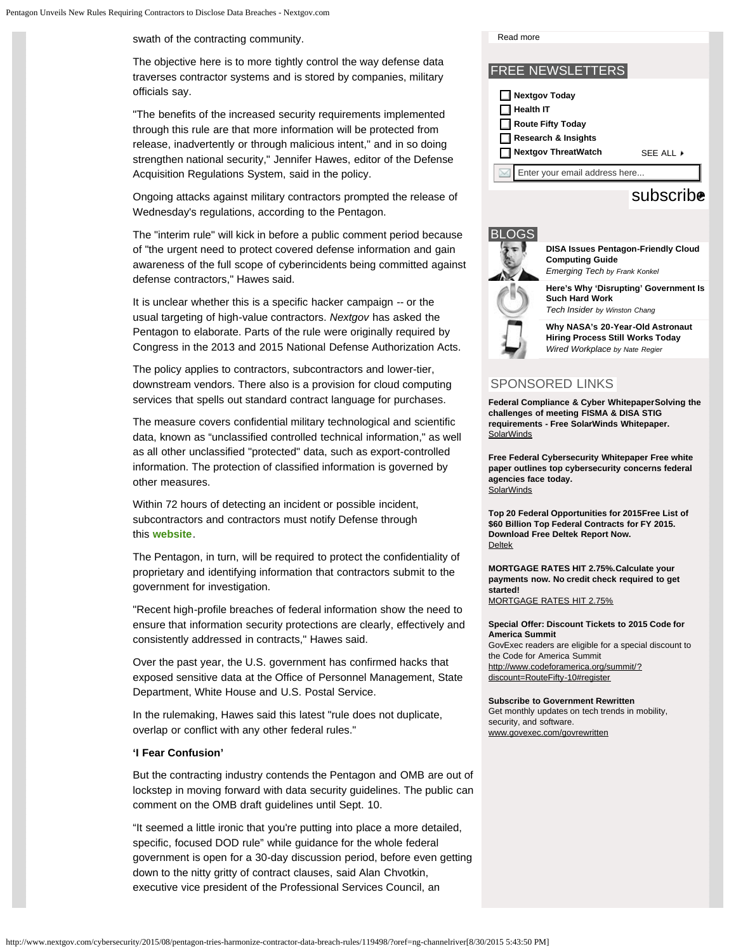swath of the contracting community.

The objective here is to more tightly control the way defense data traverses contractor systems and is stored by companies, military officials say.

"The benefits of the increased security requirements implemented through this rule are that more information will be protected from release, inadvertently or through malicious intent," and in so doing strengthen national security," Jennifer Hawes, editor of the Defense Acquisition Regulations System, said in the policy.

Ongoing attacks against military contractors prompted the release of Wednesday's regulations, according to the Pentagon.

The "interim rule" will kick in before a public comment period because of "the urgent need to protect covered defense information and gain awareness of the full scope of cyberincidents being committed against defense contractors," Hawes said.

It is unclear whether this is a specific hacker campaign -- or the usual targeting of high-value contractors. *Nextgov* has asked the Pentagon to elaborate. Parts of the rule were originally required by Congress in the 2013 and 2015 National Defense Authorization Acts.

The policy applies to contractors, subcontractors and lower-tier, downstream vendors. There also is a provision for cloud computing services that spells out standard contract language for purchases.

The measure covers confidential military technological and scientific data, known as "unclassified controlled technical information," as well as all other unclassified "protected" data, such as export-controlled information. The protection of classified information is governed by other measures.

Within 72 hours of detecting an incident or possible incident, subcontractors and contractors must notify Defense through this **[website](http://dibnet.dod.mil/)**.

The Pentagon, in turn, will be required to protect the confidentiality of proprietary and identifying information that contractors submit to the government for investigation.

"Recent high-profile breaches of federal information show the need to ensure that information security protections are clearly, effectively and consistently addressed in contracts," Hawes said.

Over the past year, the U.S. government has confirmed hacks that exposed sensitive data at the Office of Personnel Management, State Department, White House and U.S. Postal Service.

In the rulemaking, Hawes said this latest "rule does not duplicate, overlap or conflict with any other federal rules."

#### **'I Fear Confusion'**

But the contracting industry contends the Pentagon and OMB are out of lockstep in moving forward with data security guidelines. The public can comment on the OMB draft guidelines until Sept. 10.

"It seemed a little ironic that you're putting into place a more detailed, specific, focused DOD rule" while guidance for the whole federal government is open for a 30-day discussion period, before even getting down to the nitty gritty of contract clauses, said Alan Chvotkin, executive vice president of the Professional Services Council, an

FREE NEWSLETTERS [Read more](http://www.govexec.com/gbc/reports/data-analytics-fighting-fraud-state-local-government/118984/?oref=ng-promotions) **Nextgov Today Health IT Route Fifty Today Research & Insights Nextgov ThreatWatch [SEE ALL](http://www.govexec.com/newsletters/) A** Enter your email address here...<br>Subscribe

## BLOGS



**[DISA Issues Pentagon-Friendly Cloud](http://www.nextgov.com/emerging-tech/emerging-tech-blog/2015/08/disa-releases-cloud-best-practices/119411/?oref=voicesmodule) [Computing Guide](http://www.nextgov.com/emerging-tech/emerging-tech-blog/2015/08/disa-releases-cloud-best-practices/119411/?oref=voicesmodule)** *[Emerging Tech by Frank Konkel](http://www.nextgov.com/emerging-tech/emerging-tech-blog/2015/08/disa-releases-cloud-best-practices/119411/?oref=voicesmodule)*

**[Here's Why 'Disrupting' Government Is](http://www.nextgov.com/technology-news/tech-insider/2015/08/bringing-entrepreneurial-spirit-your-government-workplace/119642/?oref=voicesmodule) [Such Hard Work](http://www.nextgov.com/technology-news/tech-insider/2015/08/bringing-entrepreneurial-spirit-your-government-workplace/119642/?oref=voicesmodule)** *[Tech Insider by Winston Chang](http://www.nextgov.com/technology-news/tech-insider/2015/08/bringing-entrepreneurial-spirit-your-government-workplace/119642/?oref=voicesmodule)*

**[Why NASA's 20-Year-Old Astronaut](http://www.nextgov.com/cio-briefing/wired-workplace/2015/08/nasas-20-year-old-astronaut-hiring-process-still-works-today/119669/?oref=voicesmodule) [Hiring Process Still Works Today](http://www.nextgov.com/cio-briefing/wired-workplace/2015/08/nasas-20-year-old-astronaut-hiring-process-still-works-today/119669/?oref=voicesmodule)** *[Wired Workplace by Nate Regier](http://www.nextgov.com/cio-briefing/wired-workplace/2015/08/nasas-20-year-old-astronaut-hiring-process-still-works-today/119669/?oref=voicesmodule)*

### SPONSORED LINKS

**[Federal Compliance & Cyber WhitepaperSolving the](http://web.industrybrains.com/clicks.php?appId=9848&zid=5457cc117285c&adId=151003&pos=1&impt=1440974605&zoneId=788&algid=4&reqid=53e031e336c23070&ord=1440974605&url=http%3A%2F%2Fwww.nextgov.com%2Fcybersecurity%2F2015%2F08%2Fpentagon-tries-harmonize-contractor-data-breach-rules%2F119498%2F%3Foref%3Dng-channelriver) [challenges of meeting FISMA & DISA STIG](http://web.industrybrains.com/clicks.php?appId=9848&zid=5457cc117285c&adId=151003&pos=1&impt=1440974605&zoneId=788&algid=4&reqid=53e031e336c23070&ord=1440974605&url=http%3A%2F%2Fwww.nextgov.com%2Fcybersecurity%2F2015%2F08%2Fpentagon-tries-harmonize-contractor-data-breach-rules%2F119498%2F%3Foref%3Dng-channelriver) [requirements - Free SolarWinds Whitepaper.](http://web.industrybrains.com/clicks.php?appId=9848&zid=5457cc117285c&adId=151003&pos=1&impt=1440974605&zoneId=788&algid=4&reqid=53e031e336c23070&ord=1440974605&url=http%3A%2F%2Fwww.nextgov.com%2Fcybersecurity%2F2015%2F08%2Fpentagon-tries-harmonize-contractor-data-breach-rules%2F119498%2F%3Foref%3Dng-channelriver) [SolarWinds](http://web.industrybrains.com/clicks.php?appId=9848&zid=5457cc117285c&adId=151003&pos=1&impt=1440974605&zoneId=788&algid=4&reqid=53e031e336c23070&ord=1440974605&url=http%3A%2F%2Fwww.nextgov.com%2Fcybersecurity%2F2015%2F08%2Fpentagon-tries-harmonize-contractor-data-breach-rules%2F119498%2F%3Foref%3Dng-channelriver)** 

**[Free Federal Cybersecurity Whitepaper Free white](http://web.industrybrains.com/clicks.php?appId=9848&zid=53a085d27cf09&adId=114119&pos=2&impt=1440974605&zoneId=788&algid=4&reqid=53e031e336c23070&ord=1440974605&url=http%3A%2F%2Fwww.nextgov.com%2Fcybersecurity%2F2015%2F08%2Fpentagon-tries-harmonize-contractor-data-breach-rules%2F119498%2F%3Foref%3Dng-channelriver) [paper outlines top cybersecurity concerns federal](http://web.industrybrains.com/clicks.php?appId=9848&zid=53a085d27cf09&adId=114119&pos=2&impt=1440974605&zoneId=788&algid=4&reqid=53e031e336c23070&ord=1440974605&url=http%3A%2F%2Fwww.nextgov.com%2Fcybersecurity%2F2015%2F08%2Fpentagon-tries-harmonize-contractor-data-breach-rules%2F119498%2F%3Foref%3Dng-channelriver) [agencies face today.](http://web.industrybrains.com/clicks.php?appId=9848&zid=53a085d27cf09&adId=114119&pos=2&impt=1440974605&zoneId=788&algid=4&reqid=53e031e336c23070&ord=1440974605&url=http%3A%2F%2Fwww.nextgov.com%2Fcybersecurity%2F2015%2F08%2Fpentagon-tries-harmonize-contractor-data-breach-rules%2F119498%2F%3Foref%3Dng-channelriver)** [SolarWinds](http://web.industrybrains.com/clicks.php?appId=9848&zid=53a085d27cf09&adId=114119&pos=2&impt=1440974605&zoneId=788&algid=4&reqid=53e031e336c23070&ord=1440974605&url=http%3A%2F%2Fwww.nextgov.com%2Fcybersecurity%2F2015%2F08%2Fpentagon-tries-harmonize-contractor-data-breach-rules%2F119498%2F%3Foref%3Dng-channelriver)

**[Top 20 Federal Opportunities for 2015Free List of](http://web.industrybrains.com/clicks.php?appId=9848&zid=559569b240954&adId=219273&pos=3&impt=1440974605&zoneId=788&algid=4&reqid=53e031e336c23070&ord=1440974605&url=http%3A%2F%2Fwww.nextgov.com%2Fcybersecurity%2F2015%2F08%2Fpentagon-tries-harmonize-contractor-data-breach-rules%2F119498%2F%3Foref%3Dng-channelriver) [\\$60 Billion Top Federal Contracts for FY 2015.](http://web.industrybrains.com/clicks.php?appId=9848&zid=559569b240954&adId=219273&pos=3&impt=1440974605&zoneId=788&algid=4&reqid=53e031e336c23070&ord=1440974605&url=http%3A%2F%2Fwww.nextgov.com%2Fcybersecurity%2F2015%2F08%2Fpentagon-tries-harmonize-contractor-data-breach-rules%2F119498%2F%3Foref%3Dng-channelriver) [Download Free Deltek Report Now.](http://web.industrybrains.com/clicks.php?appId=9848&zid=559569b240954&adId=219273&pos=3&impt=1440974605&zoneId=788&algid=4&reqid=53e031e336c23070&ord=1440974605&url=http%3A%2F%2Fwww.nextgov.com%2Fcybersecurity%2F2015%2F08%2Fpentagon-tries-harmonize-contractor-data-breach-rules%2F119498%2F%3Foref%3Dng-channelriver)** [Deltek](http://web.industrybrains.com/clicks.php?appId=9848&zid=559569b240954&adId=219273&pos=3&impt=1440974605&zoneId=788&algid=4&reqid=53e031e336c23070&ord=1440974605&url=http%3A%2F%2Fwww.nextgov.com%2Fcybersecurity%2F2015%2F08%2Fpentagon-tries-harmonize-contractor-data-breach-rules%2F119498%2F%3Foref%3Dng-channelriver)

**[MORTGAGE RATES HIT 2.75%.Calculate your](http://web.industrybrains.com/clicks.php?appId=9848&zid=556b98254006e&adId=209469&pos=4&impt=1440974605&zoneId=788&algid=4&reqid=53e031e336c23070&ord=1440974605&url=http%3A%2F%2Fwww.nextgov.com%2Fcybersecurity%2F2015%2F08%2Fpentagon-tries-harmonize-contractor-data-breach-rules%2F119498%2F%3Foref%3Dng-channelriver) [payments now. No credit check required to get](http://web.industrybrains.com/clicks.php?appId=9848&zid=556b98254006e&adId=209469&pos=4&impt=1440974605&zoneId=788&algid=4&reqid=53e031e336c23070&ord=1440974605&url=http%3A%2F%2Fwww.nextgov.com%2Fcybersecurity%2F2015%2F08%2Fpentagon-tries-harmonize-contractor-data-breach-rules%2F119498%2F%3Foref%3Dng-channelriver) [started!](http://web.industrybrains.com/clicks.php?appId=9848&zid=556b98254006e&adId=209469&pos=4&impt=1440974605&zoneId=788&algid=4&reqid=53e031e336c23070&ord=1440974605&url=http%3A%2F%2Fwww.nextgov.com%2Fcybersecurity%2F2015%2F08%2Fpentagon-tries-harmonize-contractor-data-breach-rules%2F119498%2F%3Foref%3Dng-channelriver)** [MORTGAGE RATES HIT 2.75%](http://web.industrybrains.com/clicks.php?appId=9848&zid=556b98254006e&adId=209469&pos=4&impt=1440974605&zoneId=788&algid=4&reqid=53e031e336c23070&ord=1440974605&url=http%3A%2F%2Fwww.nextgov.com%2Fcybersecurity%2F2015%2F08%2Fpentagon-tries-harmonize-contractor-data-breach-rules%2F119498%2F%3Foref%3Dng-channelriver)

**[Special Offer: Discount Tickets to 2015 Code for](http://www.codeforamerica.org/summit/?discount=RouteFifty-10#register) [America Summit](http://www.codeforamerica.org/summit/?discount=RouteFifty-10#register)**

GovExec readers are eligible for a special discount to the Code for America Summit [http://www.codeforamerica.org/summit/?](http://www.codeforamerica.org/summit/?discount=RouteFifty-10#register) [discount=RouteFifty-10#register](http://www.codeforamerica.org/summit/?discount=RouteFifty-10#register)

**[Subscribe to Government Rewritten](http://get.govexec.com/sponsored-ca-newsletter/)** Get monthly updates on tech trends in mobility, security, and software. [www.govexec.com/govrewritten](http://get.govexec.com/sponsored-ca-newsletter/)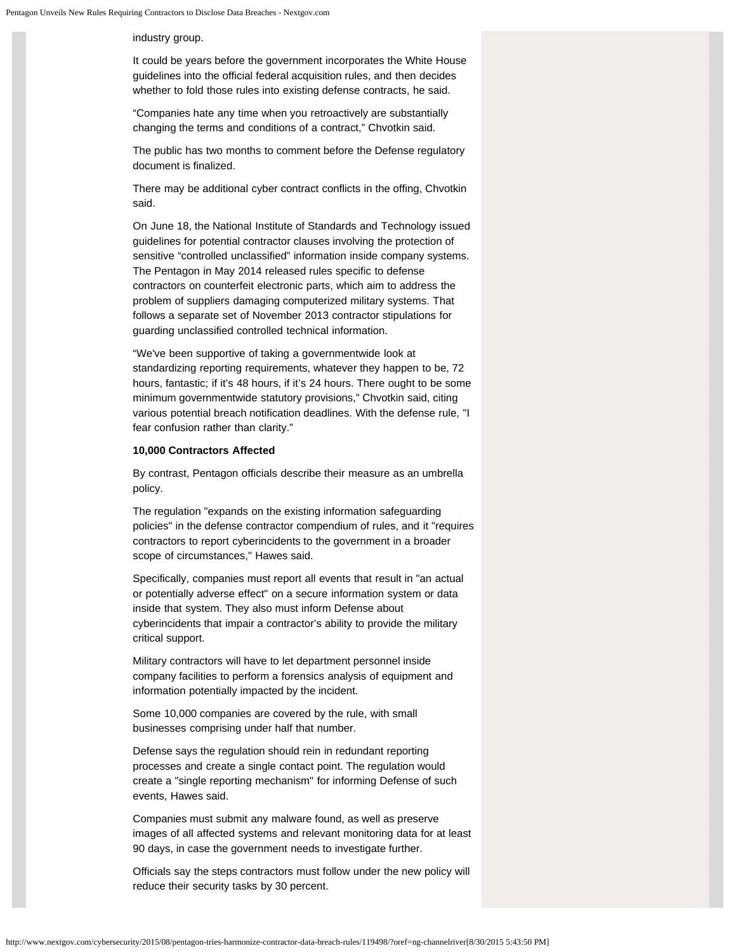industry group.

It could be years before the government incorporates the White House guidelines into the official federal acquisition rules, and then decides whether to fold those rules into existing defense contracts, he said.

"Companies hate any time when you retroactively are substantially changing the terms and conditions of a contract," Chvotkin said.

The public has two months to comment before the Defense regulatory document is finalized.

There may be additional cyber contract conflicts in the offing, Chvotkin said.

On June 18, the National Institute of Standards and Technology issued guidelines for potential contractor clauses involving the protection of sensitive "controlled unclassified" information inside company systems. The Pentagon in May 2014 released rules specific to defense contractors on counterfeit electronic parts, which aim to address the problem of suppliers damaging computerized military systems. That follows a separate set of November 2013 contractor stipulations for guarding unclassified controlled technical information.

"We've been supportive of taking a governmentwide look at standardizing reporting requirements, whatever they happen to be, 72 hours, fantastic; if it's 48 hours, if it's 24 hours. There ought to be some minimum governmentwide statutory provisions," Chvotkin said, citing various potential breach notification deadlines. With the defense rule, "I fear confusion rather than clarity."

#### **10,000 Contractors Affected**

By contrast, Pentagon officials describe their measure as an umbrella policy.

The regulation "expands on the existing information safeguarding policies" in the defense contractor compendium of rules, and it "requires contractors to report cyberincidents to the government in a broader scope of circumstances," Hawes said.

Specifically, companies must report all events that result in "an actual or potentially adverse effect" on a secure information system or data inside that system. They also must inform Defense about cyberincidents that impair a contractor's ability to provide the military critical support.

Military contractors will have to let department personnel inside company facilities to perform a forensics analysis of equipment and information potentially impacted by the incident.

Some 10,000 companies are covered by the rule, with small businesses comprising under half that number.

Defense says the regulation should rein in redundant reporting processes and create a single contact point. The regulation would create a "single reporting mechanism" for informing Defense of such events, Hawes said.

Companies must submit any malware found, as well as preserve images of all affected systems and relevant monitoring data for at least 90 days, in case the government needs to investigate further.

Officials say the steps contractors must follow under the new policy will reduce their security tasks by 30 percent.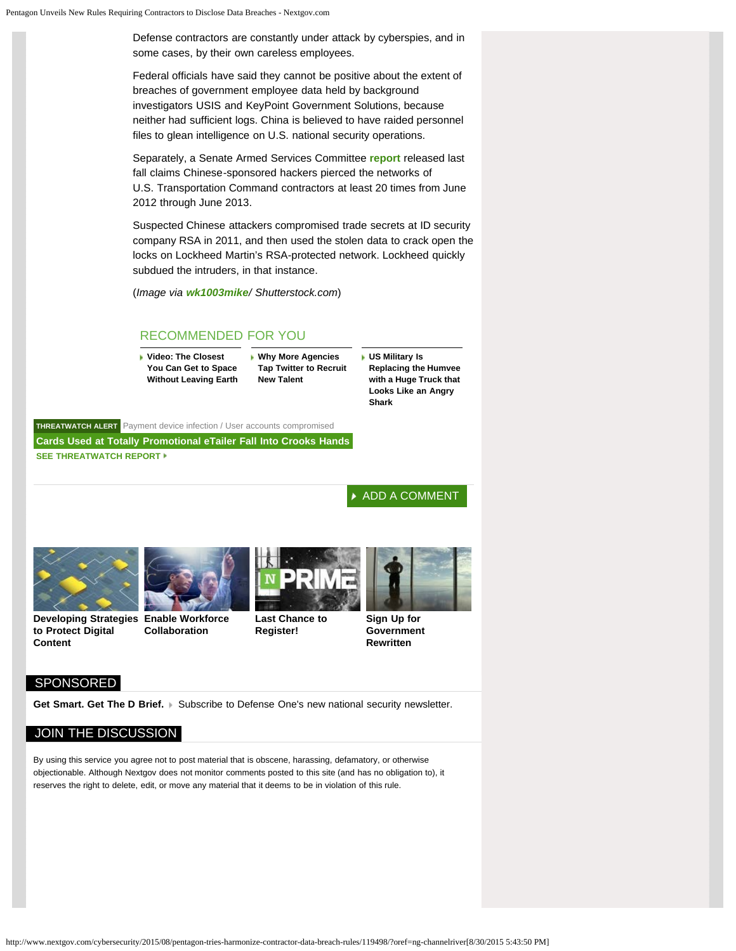Defense contractors are constantly under attack by cyberspies, and in some cases, by their own careless employees.

Federal officials have said they cannot be positive about the extent of breaches of government employee data held by background investigators USIS and KeyPoint Government Solutions, because neither had sufficient logs. China is believed to have raided personnel files to glean intelligence on U.S. national security operations.

Separately, a Senate Armed Services Committee **[report](http://www.armed-services.senate.gov/imo/media/doc/SASC_Cyberreport_091714.pdf)** released last fall claims Chinese-sponsored hackers pierced the networks of U.S. Transportation Command contractors at least 20 times from June 2012 through June 2013.

Suspected Chinese attackers compromised trade secrets at ID security company RSA in 2011, and then used the stolen data to crack open the locks on Lockheed Martin's RSA-protected network. Lockheed quickly subdued the intruders, in that instance.

(*Image via [wk1003mike](http://www.shutterstock.com/pic-237616864/stock-photo-cloud-system-breach.html?src=BJcL45TUe_BhyGIJPsWaqw-1-2)/ Shutterstock.com*)

#### RECOMMENDED FOR YOU

**[Video: The Closest](http://www.nextgov.com/emerging-tech/2015/08/video-go-inside-chamber-where-nasa-recreates-space-earth/119780?oref=ng-article-recommended) [You Can Get to Space](http://www.nextgov.com/emerging-tech/2015/08/video-go-inside-chamber-where-nasa-recreates-space-earth/119780?oref=ng-article-recommended) [Without Leaving Earth](http://www.nextgov.com/emerging-tech/2015/08/video-go-inside-chamber-where-nasa-recreates-space-earth/119780?oref=ng-article-recommended)** **[Why More Agencies](http://www.nextgov.com/cio-briefing/2015/08/why-more-agencies-are-turning-twitter-recruit-new-talent/119744?oref=ng-article-recommended) [Tap Twitter to Recruit](http://www.nextgov.com/cio-briefing/2015/08/why-more-agencies-are-turning-twitter-recruit-new-talent/119744?oref=ng-article-recommended) [New Talent](http://www.nextgov.com/cio-briefing/2015/08/why-more-agencies-are-turning-twitter-recruit-new-talent/119744?oref=ng-article-recommended)**

**[US Military Is](http://www.nextgov.com/defense/2015/08/us-military-replacing-humvee-huge-truck-looks-angry-shark/119723?oref=ng-article-recommended) [Replacing the Humvee](http://www.nextgov.com/defense/2015/08/us-military-replacing-humvee-huge-truck-looks-angry-shark/119723?oref=ng-article-recommended) [with a Huge Truck that](http://www.nextgov.com/defense/2015/08/us-military-replacing-humvee-huge-truck-looks-angry-shark/119723?oref=ng-article-recommended) [Looks Like an Angry](http://www.nextgov.com/defense/2015/08/us-military-replacing-humvee-huge-truck-looks-angry-shark/119723?oref=ng-article-recommended) [Shark](http://www.nextgov.com/defense/2015/08/us-military-replacing-humvee-huge-truck-looks-angry-shark/119723?oref=ng-article-recommended)**

**[THREATWATCH ALERT](http://www.nextgov.com/cybersecurity/threatwatch/2015/08/user-accounts-compromised-payment-device-infection/2453/?oref=TW_article_module)** [Payment device infection / User accounts compromised](http://www.nextgov.com/cybersecurity/threatwatch/2015/08/user-accounts-compromised-payment-device-infection/2453/?oref=TW_article_module) **[Cards Used at Totally Promotional eTailer Fall Into Crooks Hands](http://www.nextgov.com/cybersecurity/threatwatch/2015/08/user-accounts-compromised-payment-device-infection/2453/?oref=TW_article_module) [SEE THREATWATCH REPORT](http://www.nextgov.com/cybersecurity/threatwatch/2015/08/user-accounts-compromised-payment-device-infection/2453/?oref=TW_article_module)**

[ADD A COMMENT](#page-4-0)





**[Developing Strategies](http://www.nextgov.com/nextgov-sponsored/2015/02/expert-q-key-strategies-protect-governments-digital-content/105234/) [Enable Workforce](http://get.govexec.com/sponsored-workforce-collaboration/) [to Protect Digital](http://www.nextgov.com/nextgov-sponsored/2015/02/expert-q-key-strategies-protect-governments-digital-content/105234/) [Collaboration](http://get.govexec.com/sponsored-workforce-collaboration/)**

**[Last Chance to](http://www.nextgov.com/feature/prime2015/) [Register!](http://www.nextgov.com/feature/prime2015/)**



**[Sign Up for](http://get.govexec.com/sponsored-ca-newsletter/) [Government](http://get.govexec.com/sponsored-ca-newsletter/) [Rewritten](http://get.govexec.com/sponsored-ca-newsletter/)**

#### SPONSORED

**[Content](http://www.nextgov.com/nextgov-sponsored/2015/02/expert-q-key-strategies-protect-governments-digital-content/105234/)**

[Get Smart. Get The D Brief.](http://www.defenseone.com/news/2014/10/d-brief/96299/?oref=ng-sponsored) In Subscribe to Defense One's new national security newsletter.

#### JOIN THE DISCUSSION

By using this service you agree not to post material that is obscene, harassing, defamatory, or otherwise objectionable. Although Nextgov does not monitor comments posted to this site (and has no obligation to), it reserves the right to delete, edit, or move any material that it deems to be in violation of this rule.